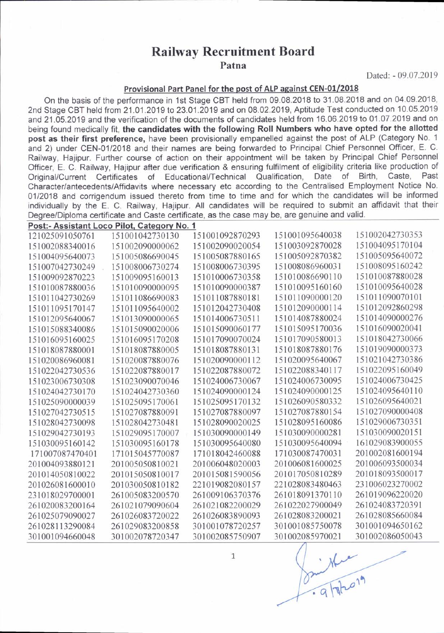## Railway Recruitment Board

Patna

Dated: - 09.07.2019

## Provisional Part Panel for the post of ALP against CEN-01/2018

On the basis of the performance in 1st Stage CBT held from 09.08.2018 to 31.08.2018 and on 04.09.2018, 2nd Stage CBT held from 21.01.2019 to 23.01.2019 and on 08.02.2019, Aptitude Test conducted on 10.05.2019 and 21 .05.2019 and the verification of the documents of candidates held from 16.06.2019 to 01.07.2019 and on being found medically fit, the candidates with the following Roll Numbers who have opted for the allotted post as their first preference, have been provisionally empanelled against the post of ALP (Category No. 1 and 2) under CEN-01/2018 and their names are being forwarded to Principal Chief Personnel Officer, E. C. Railway, Hajipur. Further course of action on their appointment will be taken by Principal Chief Personnel Officer, E. C. Railway, Hajipur after due verification & ensuring fulfilment of eligibility criteria like production of<br>Original/Current Certificates of Educational/Technical Qualification. Date of Birth. Caste. Past Original/Current Certificates of Educational/Technical Qualification, Date of Birth, Character/antecedents/Affidavits where necessary etc according to the Centralised Employment Notice No. 01/2018 and corrigendum issued thereto from time to time and for which the candidates will be informed individually by the E. C. Railway, Hajipur. All candidates will be required to submit an affidavit that their Degree/Diploma certificate and Caste certificate, as the case may be, are genuine and valid.

| Post:- Assistant Loco Pilot, Category No. 1 |                 |                 |                 |                 |  |  |  |
|---------------------------------------------|-----------------|-----------------|-----------------|-----------------|--|--|--|
| 121025091050761                             | 151001042730130 | 151001092870293 | 151001095640038 | 151002042730353 |  |  |  |
| 151002088340016                             | 151002090000062 | 151002090020054 | 151003092870028 | 151004095170104 |  |  |  |
| 151004095640073                             | 151005086690045 | 151005087880165 | 151005092870382 | 151005095640072 |  |  |  |
| 151007042730249                             | 151008006730274 | 151008006730395 | 151008086960031 | 151008095160242 |  |  |  |
| 151009092870223                             | 151009095160013 | 151010006730358 | 151010086690110 | 151010087880028 |  |  |  |
| 151010087880036                             | 151010090000095 | 151010090000387 | 151010095160160 | 151010095640028 |  |  |  |
| 151011042730269                             | 151011086690083 | 151011087880181 | 151011090000120 | 151011090070101 |  |  |  |
| 151011095170147                             | 151011095640002 | 151012042730408 | 151012090000114 | 151012092860298 |  |  |  |
| 151012095640067                             | 151013090000065 | 151014006730511 | 151014087880024 | 151014090000276 |  |  |  |
| 151015088340086                             | 151015090020006 | 151015090060177 | 151015095170036 | 151016090020041 |  |  |  |
| 151016095160025                             | 151016095170208 | 151017090070024 | 151017090580013 | 151018042730066 |  |  |  |
| 151018087880001                             | 151018087880005 | 151018087880131 | 151018087880176 | 151019090000373 |  |  |  |
| 151020086960081                             | 151020087880076 | 151020090000112 | 151020095640067 | 151021042730386 |  |  |  |
| 151022042730536                             | 151022087880017 | 151022087880072 | 151022088340117 | 151022095160049 |  |  |  |
| 151023006730308                             | 151023090070046 | 151024006730067 | 151024006730095 | 151024006730425 |  |  |  |
| 151024042730170                             | 151024042730360 | 151024090000124 | 151024090000125 | 151024095640110 |  |  |  |
| 151025090000039                             | 151025095170061 | 151025095170132 | 151026090580332 | 151026095640021 |  |  |  |
| 151027042730515                             | 151027087880091 | 151027087880097 | 151027087880154 | 151027090000408 |  |  |  |
| 151028042730098                             | 151028042730481 | 151028090020025 | 151028095160086 | 151029006730351 |  |  |  |
| 151029042730193                             | 151029095170007 | 151030090000149 | 151030090000281 | 151030090020151 |  |  |  |
| 151030095160142                             | 151030095160178 | 151030095640080 | 151030095640094 | 161029083900055 |  |  |  |
| 171007087470401                             | 171015045770087 | 171018042460088 | 171030087470031 | 201002081600194 |  |  |  |
| 201004093880121                             | 201005050810021 | 201006048020003 | 201006081600025 | 201006093500034 |  |  |  |
| 201014050810022                             | 201015050810017 | 201015081590056 | 201017050810289 | 201018093500017 |  |  |  |
| 201026081600010                             | 201030050810182 | 221019082080157 | 221028083480463 | 231006023270002 |  |  |  |
| 231018029700001                             | 261005083200570 | 261009106370376 | 261018091370110 | 261019096220020 |  |  |  |
| 261020083200164                             | 261021079090604 | 261021082200029 | 261022027900049 | 261024083720391 |  |  |  |
| 261025079090027                             | 261026083720022 | 261026083890093 | 261028083200021 | 261028085660084 |  |  |  |
| 261028113290084                             | 261029083200858 | 301001078720257 | 301001085750078 | 301001094650162 |  |  |  |
| 301001094660048                             | 301002078720347 | 301002085750907 | 301002085970021 | 301002086050043 |  |  |  |

 $\mathbf{1}$ 

Singlores